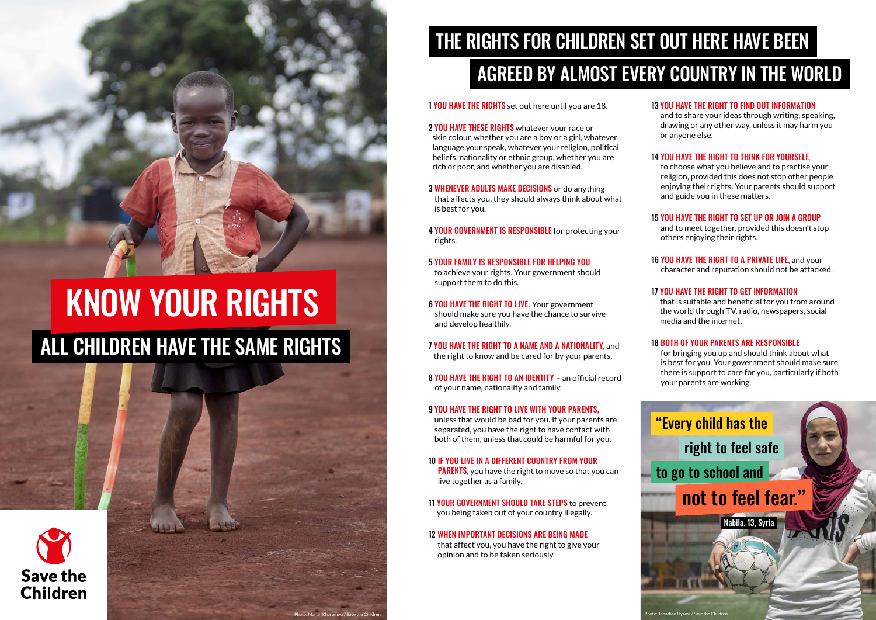| 1 YOU HAVE THE RIGHTS set out here until you are 18.                                                                                                                                                                                                                      | 13 |
|---------------------------------------------------------------------------------------------------------------------------------------------------------------------------------------------------------------------------------------------------------------------------|----|
| 2 YOU HAVE THESE RIGHTS whatever your race or<br>skin colour, whether you are a boy or a girl, whatever<br>language your speak, whatever your religion, political<br>beliefs, nationality or ethnic group, whether you are<br>rich or poor, and whether you are disabled. | 14 |
| <b>3 WHENEVER ADULTS MAKE DECISIONS</b> or do anything<br>that affects you, they should always think about what<br>is best for you.                                                                                                                                       | 15 |
| 4 YOUR GOVERNMENT IS RESPONSIBLE for protecting your<br>rights.                                                                                                                                                                                                           |    |
| 5 YOUR FAMILY IS RESPONSIBLE FOR HELPING YOU<br>to achieve your rights. Your government should<br>support them to do this.                                                                                                                                                | 16 |
| 6 YOU HAVE THE RIGHT TO LIVE. Your government<br>should make sure you have the chance to survive<br>and develop healthily.                                                                                                                                                | 17 |
| <b>7 YOU HAVE THE RIGHT TO A NAME AND A NATIONALITY, and</b><br>the right to know and be cared for by your parents.                                                                                                                                                       | 18 |
| 8 YOU HAVE THE RIGHT TO AN IDENTITY - an official record<br>of your name, nationality and family.                                                                                                                                                                         |    |
| <b>9 YOU HAVE THE RIGHT TO LIVE WITH YOUR PARENTS.</b><br>unless that would be bad for you. If your parents are<br>separated, you have the right to have contact with<br>both of them, unless that could be harmful for you.                                              |    |
| <b>10 IF YOU LIVE IN A DIFFERENT COUNTRY FROM YOUR</b><br><b>PARENTS</b> , you have the right to move so that you can<br>live together as a family.                                                                                                                       |    |
| <b>11 YOUR GOVERNMENT SHOULD TAKE STEPS to prevent</b><br>you being taken out of your country illegally.                                                                                                                                                                  |    |
| <b>12 WHEN IMPORTANT DECISIONS ARE BEING MADE</b><br>that affect you, you have the right to give your<br>opinion and to be taken seriously.                                                                                                                               |    |
|                                                                                                                                                                                                                                                                           |    |

**6 YOU HAVE THE RIGHT TO A PRIVATE LIFE, and your** character and reputation should not be attacked.

#### 13 YOU HAVE THE RIGHT TO FIND OUT INFORMATION

and to share your ideas through writing, speaking, drawing or any other way, unless it may harm you or anyone else.

#### 14 YOU HAVE THE RIGHT TO THINK FOR YOURSELF,

to choose what you believe and to practise your religion, provided this does not stop other people enjoying their rights. Your parents should support and guide you in these matters.

#### 15 YOU HAVE THE RIGHT TO SET UP OR JOIN A GROUP

and to meet together, provided this doesn't stop others enjoying their rights.

#### 17 YOU HAVE THE RIGHT TO GET INFORMATION

that is suitable and beneficial for you from around the world through TV, radio, newspapers, social media and the internet.

#### **8 BOTH OF YOUR PARENTS ARE RESPONSIBLE**

for bringing you up and should think about what is best for you. Your government should make sure there is support to care for you, particularly if both your parents are working.

Photo: Martin Kharumwa / Save the Children





# ALL CHILDREN HAVE THE SAME RIGHTS KNOW YOUR RIGHTS

## THE RIGHTS FOR CHILDREN SET OUT HERE HAVE BEEN AGREED BY ALMOST EVERY COUNTRY IN THE WORLD